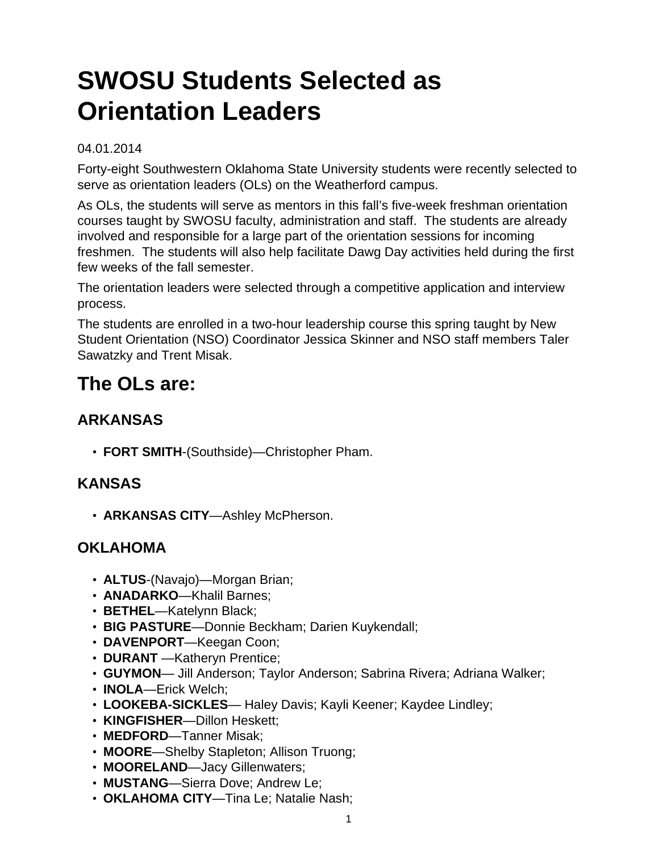# **SWOSU Students Selected as Orientation Leaders**

#### 04.01.2014

Forty-eight Southwestern Oklahoma State University students were recently selected to serve as orientation leaders (OLs) on the Weatherford campus.

As OLs, the students will serve as mentors in this fall's five-week freshman orientation courses taught by SWOSU faculty, administration and staff. The students are already involved and responsible for a large part of the orientation sessions for incoming freshmen. The students will also help facilitate Dawg Day activities held during the first few weeks of the fall semester.

The orientation leaders were selected through a competitive application and interview process.

The students are enrolled in a two-hour leadership course this spring taught by New Student Orientation (NSO) Coordinator Jessica Skinner and NSO staff members Taler Sawatzky and Trent Misak.

## **The OLs are:**

### **ARKANSAS**

• **FORT SMITH**-(Southside)—Christopher Pham.

#### **KANSAS**

• **ARKANSAS CITY**—Ashley McPherson.

#### **OKLAHOMA**

- **ALTUS**-(Navajo)—Morgan Brian;
- **ANADARKO**—Khalil Barnes;
- **BETHEL**—Katelynn Black;
- **BIG PASTURE**—Donnie Beckham; Darien Kuykendall;
- **DAVENPORT**—Keegan Coon;
- **DURANT** —Katheryn Prentice;
- **GUYMON** Jill Anderson; Taylor Anderson; Sabrina Rivera; Adriana Walker;
- **INOLA**—Erick Welch;
- **LOOKEBA-SICKLES** Haley Davis; Kayli Keener; Kaydee Lindley;
- **KINGFISHER**—Dillon Heskett;
- **MEDFORD**—Tanner Misak;
- **MOORE**—Shelby Stapleton; Allison Truong;
- **MOORELAND**—Jacy Gillenwaters;
- **MUSTANG**—Sierra Dove; Andrew Le;
- **OKLAHOMA CITY**—Tina Le; Natalie Nash;